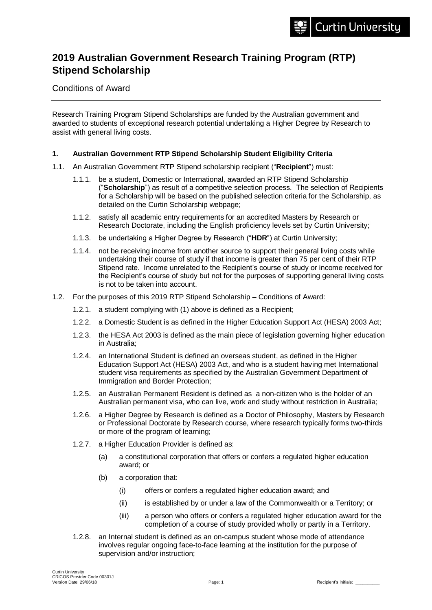# **2019 Australian Government Research Training Program (RTP) Stipend Scholarship**

Conditions of Award

Research Training Program Stipend Scholarships are funded by the Australian government and awarded to students of exceptional research potential undertaking a Higher Degree by Research to assist with general living costs.

#### **1. Australian Government RTP Stipend Scholarship Student Eligibility Criteria**

- 1.1. An Australian Government RTP Stipend scholarship recipient ("**Recipient**") must:
	- 1.1.1. be a student, Domestic or International, awarded an RTP Stipend Scholarship ("**Scholarship**") as result of a competitive selection process. The selection of Recipients for a Scholarship will be based on the published selection criteria for the Scholarship, as detailed on the Curtin Scholarship webpage;
	- 1.1.2. satisfy all academic entry requirements for an accredited Masters by Research or Research Doctorate, including the English proficiency levels set by Curtin University;
	- 1.1.3. be undertaking a Higher Degree by Research ("**HDR**") at Curtin University;
	- 1.1.4. not be receiving income from another source to support their general living costs while undertaking their course of study if that income is greater than 75 per cent of their RTP Stipend rate. Income unrelated to the Recipient's course of study or income received for the Recipient's course of study but not for the purposes of supporting general living costs is not to be taken into account.
- 1.2. For the purposes of this 2019 RTP Stipend Scholarship Conditions of Award:
	- 1.2.1. a student complying with (1) above is defined as a Recipient;
	- 1.2.2. a Domestic Student is as defined in the Higher Education Support Act (HESA) 2003 Act;
	- 1.2.3. the HESA Act 2003 is defined as the main piece of legislation governing higher education in Australia;
	- 1.2.4. an International Student is defined an overseas student, as defined in the Higher Education Support Act (HESA) 2003 Act, and who is a student having met International student visa requirements as specified by the Australian Government Department of Immigration and Border Protection;
	- 1.2.5. an Australian Permanent Resident is defined as a non-citizen who is the holder of an Australian permanent visa, who can live, work and study without restriction in Australia;
	- 1.2.6. a Higher Degree by Research is defined as a Doctor of Philosophy, Masters by Research or Professional Doctorate by Research course, where research typically forms two-thirds or more of the program of learning;
	- 1.2.7. a Higher Education Provider is defined as:
		- (a) a constitutional corporation that offers or confers a regulated higher education award; or
		- (b) a corporation that:
			- (i) offers or confers a regulated higher education award; and
			- (ii) is established by or under a law of the Commonwealth or a Territory; or
			- (iii) a person who offers or confers a regulated higher education award for the completion of a course of study provided wholly or partly in a Territory.
	- 1.2.8. an Internal student is defined as an on-campus student whose mode of attendance involves regular ongoing face-to-face learning at the institution for the purpose of supervision and/or instruction;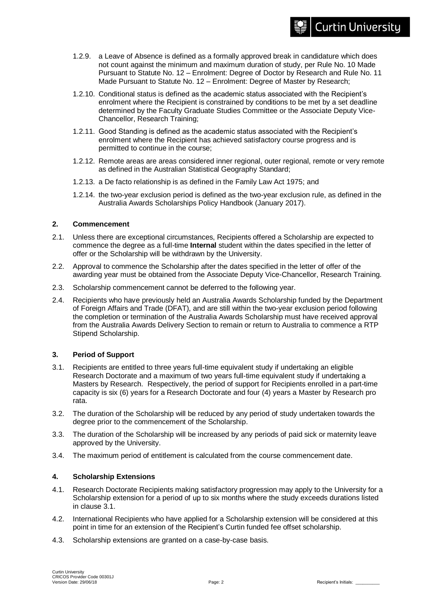#### 1.2.9. a Leave of Absence is defined as a formally approved break in candidature which does not count against the minimum and maximum duration of study, per Rule No. 10 Made Pursuant to Statute No. 12 – Enrolment: Degree of Doctor by Research and Rule No. 11 Made Pursuant to Statute No. 12 – Enrolment: Degree of Master by Research;

- 1.2.10. Conditional status is defined as the academic status associated with the Recipient's enrolment where the Recipient is constrained by conditions to be met by a set deadline determined by the Faculty Graduate Studies Committee or the Associate Deputy Vice-Chancellor, Research Training;
- 1.2.11. Good Standing is defined as the academic status associated with the Recipient's enrolment where the Recipient has achieved satisfactory course progress and is permitted to continue in the course;
- 1.2.12. Remote areas are areas considered inner regional, outer regional, remote or very remote as defined in the Australian Statistical Geography Standard;
- 1.2.13. a De facto relationship is as defined in the Family Law Act 1975; and
- 1.2.14. the two-year exclusion period is defined as the two-year exclusion rule, as defined in the Australia Awards Scholarships Policy Handbook (January 2017).

# **2. Commencement**

- 2.1. Unless there are exceptional circumstances, Recipients offered a Scholarship are expected to commence the degree as a full-time **Internal** student within the dates specified in the letter of offer or the Scholarship will be withdrawn by the University.
- 2.2. Approval to commence the Scholarship after the dates specified in the letter of offer of the awarding year must be obtained from the Associate Deputy Vice-Chancellor, Research Training.
- 2.3. Scholarship commencement cannot be deferred to the following year.
- 2.4. Recipients who have previously held an Australia Awards Scholarship funded by the Department of Foreign Affairs and Trade (DFAT), and are still within the two-year exclusion period following the completion or termination of the Australia Awards Scholarship must have received approval from the Australia Awards Delivery Section to remain or return to Australia to commence a RTP Stipend Scholarship.

# **3. Period of Support**

- 3.1. Recipients are entitled to three years full-time equivalent study if undertaking an eligible Research Doctorate and a maximum of two years full-time equivalent study if undertaking a Masters by Research. Respectively, the period of support for Recipients enrolled in a part-time capacity is six (6) years for a Research Doctorate and four (4) years a Master by Research pro rata.
- 3.2. The duration of the Scholarship will be reduced by any period of study undertaken towards the degree prior to the commencement of the Scholarship.
- 3.3. The duration of the Scholarship will be increased by any periods of paid sick or maternity leave approved by the University.
- 3.4. The maximum period of entitlement is calculated from the course commencement date.

# **4. Scholarship Extensions**

- 4.1. Research Doctorate Recipients making satisfactory progression may apply to the University for a Scholarship extension for a period of up to six months where the study exceeds durations listed in clause 3.1.
- 4.2. International Recipients who have applied for a Scholarship extension will be considered at this point in time for an extension of the Recipient's Curtin funded fee offset scholarship.
- 4.3. Scholarship extensions are granted on a case-by-case basis.

**Curtin University**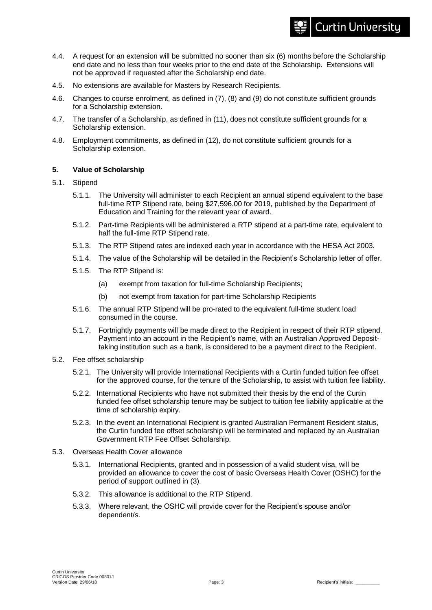#### 4.4. A request for an extension will be submitted no sooner than six (6) months before the Scholarship end date and no less than four weeks prior to the end date of the Scholarship. Extensions will not be approved if requested after the Scholarship end date.

- 4.5. No extensions are available for Masters by Research Recipients.
- 4.6. Changes to course enrolment, as defined in (7), (8) and (9) do not constitute sufficient grounds for a Scholarship extension.
- 4.7. The transfer of a Scholarship, as defined in (11), does not constitute sufficient grounds for a Scholarship extension.
- 4.8. Employment commitments, as defined in (12), do not constitute sufficient grounds for a Scholarship extension.

#### **5. Value of Scholarship**

- 5.1. Stipend
	- 5.1.1. The University will administer to each Recipient an annual stipend equivalent to the base full-time RTP Stipend rate, being \$27,596.00 for 2019, published by the Department of Education and Training for the relevant year of award.
	- 5.1.2. Part-time Recipients will be administered a RTP stipend at a part-time rate, equivalent to half the full-time RTP Stipend rate.
	- 5.1.3. The RTP Stipend rates are indexed each year in accordance with the HESA Act 2003.
	- 5.1.4. The value of the Scholarship will be detailed in the Recipient's Scholarship letter of offer.
	- 5.1.5. The RTP Stipend is:
		- (a) exempt from taxation for full-time Scholarship Recipients;
		- (b) not exempt from taxation for part-time Scholarship Recipients
	- 5.1.6. The annual RTP Stipend will be pro-rated to the equivalent full-time student load consumed in the course.
	- 5.1.7. Fortnightly payments will be made direct to the Recipient in respect of their RTP stipend. Payment into an account in the Recipient's name, with an Australian Approved Deposittaking institution such as a bank, is considered to be a payment direct to the Recipient.
- 5.2. Fee offset scholarship
	- 5.2.1. The University will provide International Recipients with a Curtin funded tuition fee offset for the approved course, for the tenure of the Scholarship, to assist with tuition fee liability.
	- 5.2.2. International Recipients who have not submitted their thesis by the end of the Curtin funded fee offset scholarship tenure may be subject to tuition fee liability applicable at the time of scholarship expiry.
	- 5.2.3. In the event an International Recipient is granted Australian Permanent Resident status, the Curtin funded fee offset scholarship will be terminated and replaced by an Australian Government RTP Fee Offset Scholarship.
- 5.3. Overseas Health Cover allowance
	- 5.3.1. International Recipients, granted and in possession of a valid student visa, will be provided an allowance to cover the cost of basic Overseas Health Cover (OSHC) for the period of support outlined in (3).
	- 5.3.2. This allowance is additional to the RTP Stipend.
	- 5.3.3. Where relevant, the OSHC will provide cover for the Recipient's spouse and/or dependent/s.

**Curtin University**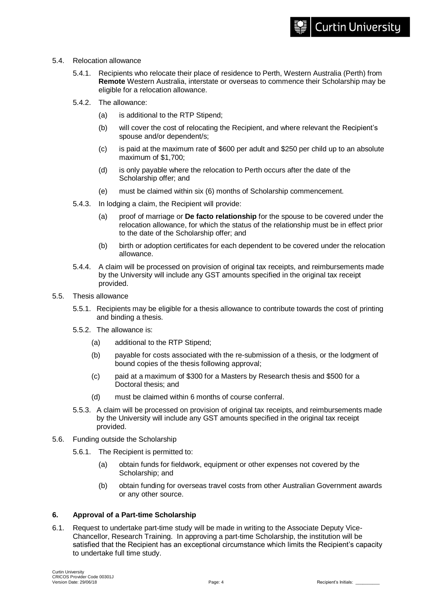- 5.4. Relocation allowance
	- 5.4.1. Recipients who relocate their place of residence to Perth, Western Australia (Perth) from **Remote** Western Australia, interstate or overseas to commence their Scholarship may be eligible for a relocation allowance.
	- 5.4.2. The allowance:
		- (a) is additional to the RTP Stipend;
		- (b) will cover the cost of relocating the Recipient, and where relevant the Recipient's spouse and/or dependent/s;
		- (c) is paid at the maximum rate of \$600 per adult and \$250 per child up to an absolute maximum of \$1,700;
		- (d) is only payable where the relocation to Perth occurs after the date of the Scholarship offer; and
		- (e) must be claimed within six (6) months of Scholarship commencement.
	- 5.4.3. In lodging a claim, the Recipient will provide:
		- (a) proof of marriage or **De facto relationship** for the spouse to be covered under the relocation allowance, for which the status of the relationship must be in effect prior to the date of the Scholarship offer; and
		- (b) birth or adoption certificates for each dependent to be covered under the relocation allowance.
	- 5.4.4. A claim will be processed on provision of original tax receipts, and reimbursements made by the University will include any GST amounts specified in the original tax receipt provided.
- 5.5. Thesis allowance
	- 5.5.1. Recipients may be eligible for a thesis allowance to contribute towards the cost of printing and binding a thesis.
	- 5.5.2. The allowance is:
		- (a) additional to the RTP Stipend;
		- (b) payable for costs associated with the re-submission of a thesis, or the lodgment of bound copies of the thesis following approval;
		- (c) paid at a maximum of \$300 for a Masters by Research thesis and \$500 for a Doctoral thesis; and
		- (d) must be claimed within 6 months of course conferral.
	- 5.5.3. A claim will be processed on provision of original tax receipts, and reimbursements made by the University will include any GST amounts specified in the original tax receipt provided.
- 5.6. Funding outside the Scholarship
	- 5.6.1. The Recipient is permitted to:
		- (a) obtain funds for fieldwork, equipment or other expenses not covered by the Scholarship; and
		- (b) obtain funding for overseas travel costs from other Australian Government awards or any other source.

# **6. Approval of a Part-time Scholarship**

6.1. Request to undertake part-time study will be made in writing to the Associate Deputy Vice-Chancellor, Research Training. In approving a part-time Scholarship, the institution will be satisfied that the Recipient has an exceptional circumstance which limits the Recipient's capacity to undertake full time study.

**Curtin University**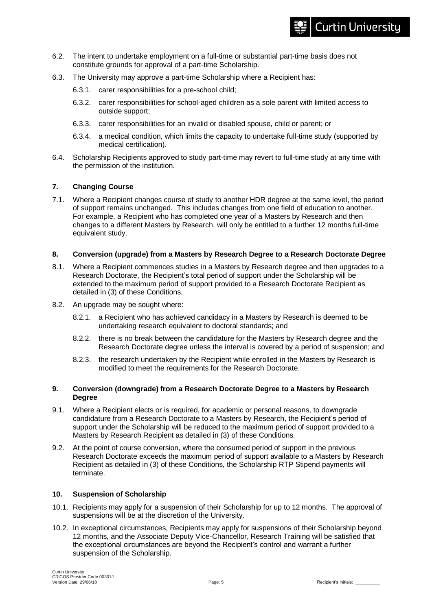- 6.2. The intent to undertake employment on a full-time or substantial part-time basis does not constitute grounds for approval of a part-time Scholarship.
- 6.3. The University may approve a part-time Scholarship where a Recipient has:
	- 6.3.1. carer responsibilities for a pre-school child;
	- 6.3.2. carer responsibilities for school-aged children as a sole parent with limited access to outside support;
	- 6.3.3. carer responsibilities for an invalid or disabled spouse, child or parent; or
	- 6.3.4. a medical condition, which limits the capacity to undertake full-time study (supported by medical certification).
- 6.4. Scholarship Recipients approved to study part-time may revert to full-time study at any time with the permission of the institution.

# **7. Changing Course**

7.1. Where a Recipient changes course of study to another HDR degree at the same level, the period of support remains unchanged. This includes changes from one field of education to another. For example, a Recipient who has completed one year of a Masters by Research and then changes to a different Masters by Research, will only be entitled to a further 12 months full-time equivalent study.

#### **8. Conversion (upgrade) from a Masters by Research Degree to a Research Doctorate Degree**

- 8.1. Where a Recipient commences studies in a Masters by Research degree and then upgrades to a Research Doctorate, the Recipient's total period of support under the Scholarship will be extended to the maximum period of support provided to a Research Doctorate Recipient as detailed in (3) of these Conditions.
- 8.2. An upgrade may be sought where:
	- 8.2.1. a Recipient who has achieved candidacy in a Masters by Research is deemed to be undertaking research equivalent to doctoral standards; and
	- 8.2.2. there is no break between the candidature for the Masters by Research degree and the Research Doctorate degree unless the interval is covered by a period of suspension; and
	- 8.2.3. the research undertaken by the Recipient while enrolled in the Masters by Research is modified to meet the requirements for the Research Doctorate.

#### **9. Conversion (downgrade) from a Research Doctorate Degree to a Masters by Research Degree**

- 9.1. Where a Recipient elects or is required, for academic or personal reasons, to downgrade candidature from a Research Doctorate to a Masters by Research, the Recipient's period of support under the Scholarship will be reduced to the maximum period of support provided to a Masters by Research Recipient as detailed in (3) of these Conditions.
- 9.2. At the point of course conversion, where the consumed period of support in the previous Research Doctorate exceeds the maximum period of support available to a Masters by Research Recipient as detailed in (3) of these Conditions, the Scholarship RTP Stipend payments will terminate.

#### **10. Suspension of Scholarship**

- 10.1. Recipients may apply for a suspension of their Scholarship for up to 12 months. The approval of suspensions will be at the discretion of the University.
- 10.2. In exceptional circumstances, Recipients may apply for suspensions of their Scholarship beyond 12 months, and the Associate Deputy Vice-Chancellor, Research Training will be satisfied that the exceptional circumstances are beyond the Recipient's control and warrant a further suspension of the Scholarship.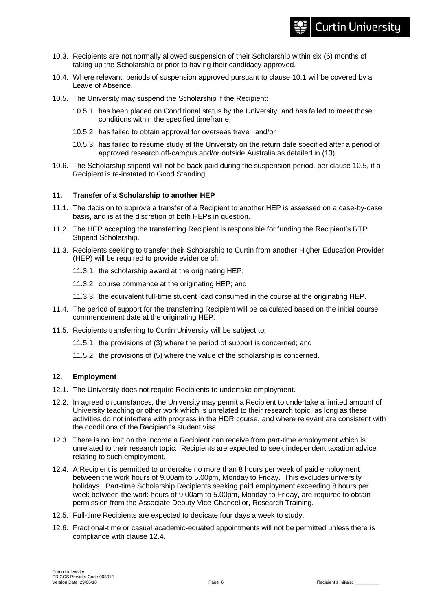- 10.3. Recipients are not normally allowed suspension of their Scholarship within six (6) months of taking up the Scholarship or prior to having their candidacy approved.
- 10.4. Where relevant, periods of suspension approved pursuant to clause 10.1 will be covered by a Leave of Absence.
- 10.5. The University may suspend the Scholarship if the Recipient:
	- 10.5.1. has been placed on Conditional status by the University, and has failed to meet those conditions within the specified timeframe;
	- 10.5.2. has failed to obtain approval for overseas travel; and/or
	- 10.5.3. has failed to resume study at the University on the return date specified after a period of approved research off-campus and/or outside Australia as detailed in (13).
- 10.6. The Scholarship stipend will not be back paid during the suspension period, per clause 10.5, if a Recipient is re-instated to Good Standing.

#### **11. Transfer of a Scholarship to another HEP**

- 11.1. The decision to approve a transfer of a Recipient to another HEP is assessed on a case-by-case basis, and is at the discretion of both HEPs in question.
- 11.2. The HEP accepting the transferring Recipient is responsible for funding the Recipient's RTP Stipend Scholarship.
- 11.3. Recipients seeking to transfer their Scholarship to Curtin from another Higher Education Provider (HEP) will be required to provide evidence of:
	- 11.3.1. the scholarship award at the originating HEP;
	- 11.3.2. course commence at the originating HEP; and
	- 11.3.3. the equivalent full-time student load consumed in the course at the originating HEP.
- 11.4. The period of support for the transferring Recipient will be calculated based on the initial course commencement date at the originating HEP.
- 11.5. Recipients transferring to Curtin University will be subject to:
	- 11.5.1. the provisions of (3) where the period of support is concerned; and
	- 11.5.2. the provisions of (5) where the value of the scholarship is concerned.

#### **12. Employment**

- 12.1. The University does not require Recipients to undertake employment.
- 12.2. In agreed circumstances, the University may permit a Recipient to undertake a limited amount of University teaching or other work which is unrelated to their research topic, as long as these activities do not interfere with progress in the HDR course, and where relevant are consistent with the conditions of the Recipient's student visa.
- 12.3. There is no limit on the income a Recipient can receive from part-time employment which is unrelated to their research topic. Recipients are expected to seek independent taxation advice relating to such employment.
- 12.4. A Recipient is permitted to undertake no more than 8 hours per week of paid employment between the work hours of 9.00am to 5.00pm, Monday to Friday. This excludes university holidays. Part-time Scholarship Recipients seeking paid employment exceeding 8 hours per week between the work hours of 9.00am to 5.00pm, Monday to Friday, are required to obtain permission from the Associate Deputy Vice-Chancellor, Research Training.
- 12.5. Full-time Recipients are expected to dedicate four days a week to study.
- 12.6. Fractional-time or casual academic-equated appointments will not be permitted unless there is compliance with clause 12.4.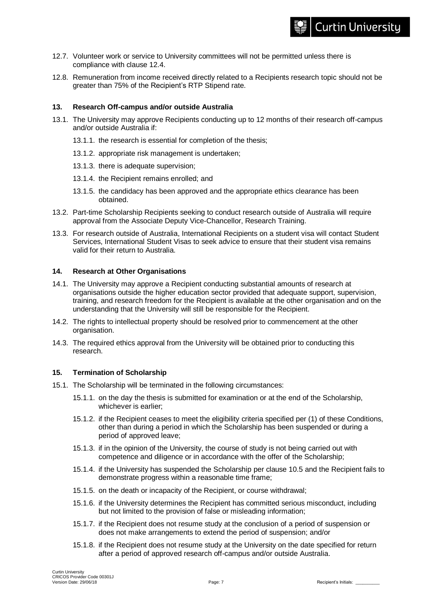# **Curtin University**

- 12.7. Volunteer work or service to University committees will not be permitted unless there is compliance with clause 12.4.
- 12.8. Remuneration from income received directly related to a Recipients research topic should not be greater than 75% of the Recipient's RTP Stipend rate.

#### **13. Research Off-campus and/or outside Australia**

- 13.1. The University may approve Recipients conducting up to 12 months of their research off-campus and/or outside Australia if:
	- 13.1.1. the research is essential for completion of the thesis;
	- 13.1.2. appropriate risk management is undertaken;
	- 13.1.3. there is adequate supervision;
	- 13.1.4. the Recipient remains enrolled; and
	- 13.1.5. the candidacy has been approved and the appropriate ethics clearance has been obtained.
- 13.2. Part-time Scholarship Recipients seeking to conduct research outside of Australia will require approval from the Associate Deputy Vice-Chancellor, Research Training.
- 13.3. For research outside of Australia, International Recipients on a student visa will contact Student Services, International Student Visas to seek advice to ensure that their student visa remains valid for their return to Australia.

#### **14. Research at Other Organisations**

- 14.1. The University may approve a Recipient conducting substantial amounts of research at organisations outside the higher education sector provided that adequate support, supervision, training, and research freedom for the Recipient is available at the other organisation and on the understanding that the University will still be responsible for the Recipient.
- 14.2. The rights to intellectual property should be resolved prior to commencement at the other organisation.
- 14.3. The required ethics approval from the University will be obtained prior to conducting this research.

# **15. Termination of Scholarship**

- 15.1. The Scholarship will be terminated in the following circumstances:
	- 15.1.1. on the day the thesis is submitted for examination or at the end of the Scholarship, whichever is earlier;
	- 15.1.2. if the Recipient ceases to meet the eligibility criteria specified per (1) of these Conditions, other than during a period in which the Scholarship has been suspended or during a period of approved leave;
	- 15.1.3. if in the opinion of the University, the course of study is not being carried out with competence and diligence or in accordance with the offer of the Scholarship;
	- 15.1.4. if the University has suspended the Scholarship per clause 10.5 and the Recipient fails to demonstrate progress within a reasonable time frame;
	- 15.1.5. on the death or incapacity of the Recipient, or course withdrawal;
	- 15.1.6. if the University determines the Recipient has committed serious misconduct, including but not limited to the provision of false or misleading information;
	- 15.1.7. if the Recipient does not resume study at the conclusion of a period of suspension or does not make arrangements to extend the period of suspension; and/or
	- 15.1.8. if the Recipient does not resume study at the University on the date specified for return after a period of approved research off-campus and/or outside Australia.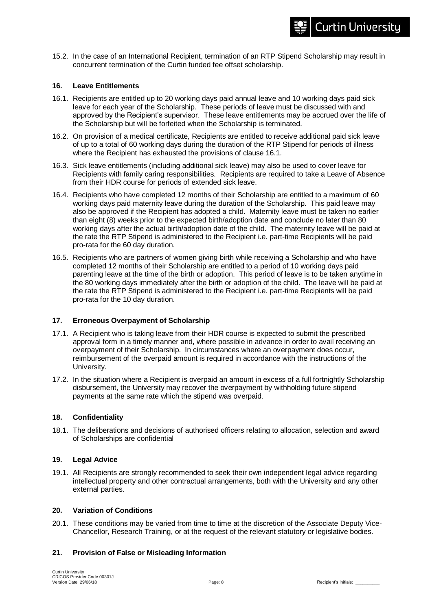15.2. In the case of an International Recipient, termination of an RTP Stipend Scholarship may result in concurrent termination of the Curtin funded fee offset scholarship.

#### **16. Leave Entitlements**

- 16.1. Recipients are entitled up to 20 working days paid annual leave and 10 working days paid sick leave for each year of the Scholarship. These periods of leave must be discussed with and approved by the Recipient's supervisor. These leave entitlements may be accrued over the life of the Scholarship but will be forfeited when the Scholarship is terminated.
- 16.2. On provision of a medical certificate, Recipients are entitled to receive additional paid sick leave of up to a total of 60 working days during the duration of the RTP Stipend for periods of illness where the Recipient has exhausted the provisions of clause 16.1.
- 16.3. Sick leave entitlements (including additional sick leave) may also be used to cover leave for Recipients with family caring responsibilities. Recipients are required to take a Leave of Absence from their HDR course for periods of extended sick leave.
- 16.4. Recipients who have completed 12 months of their Scholarship are entitled to a maximum of 60 working days paid maternity leave during the duration of the Scholarship. This paid leave may also be approved if the Recipient has adopted a child. Maternity leave must be taken no earlier than eight (8) weeks prior to the expected birth/adoption date and conclude no later than 80 working days after the actual birth/adoption date of the child. The maternity leave will be paid at the rate the RTP Stipend is administered to the Recipient i.e. part-time Recipients will be paid pro-rata for the 60 day duration.
- 16.5. Recipients who are partners of women giving birth while receiving a Scholarship and who have completed 12 months of their Scholarship are entitled to a period of 10 working days paid parenting leave at the time of the birth or adoption. This period of leave is to be taken anytime in the 80 working days immediately after the birth or adoption of the child. The leave will be paid at the rate the RTP Stipend is administered to the Recipient i.e. part-time Recipients will be paid pro-rata for the 10 day duration.

#### **17. Erroneous Overpayment of Scholarship**

- 17.1. A Recipient who is taking leave from their HDR course is expected to submit the prescribed approval form in a timely manner and, where possible in advance in order to avail receiving an overpayment of their Scholarship. In circumstances where an overpayment does occur, reimbursement of the overpaid amount is required in accordance with the instructions of the University.
- 17.2. In the situation where a Recipient is overpaid an amount in excess of a full fortnightly Scholarship disbursement, the University may recover the overpayment by withholding future stipend payments at the same rate which the stipend was overpaid.

#### **18. Confidentiality**

18.1. The deliberations and decisions of authorised officers relating to allocation, selection and award of Scholarships are confidential

#### **19. Legal Advice**

19.1. All Recipients are strongly recommended to seek their own independent legal advice regarding intellectual property and other contractual arrangements, both with the University and any other external parties.

#### **20. Variation of Conditions**

20.1. These conditions may be varied from time to time at the discretion of the Associate Deputy Vice-Chancellor, Research Training, or at the request of the relevant statutory or legislative bodies.

# **21. Provision of False or Misleading Information**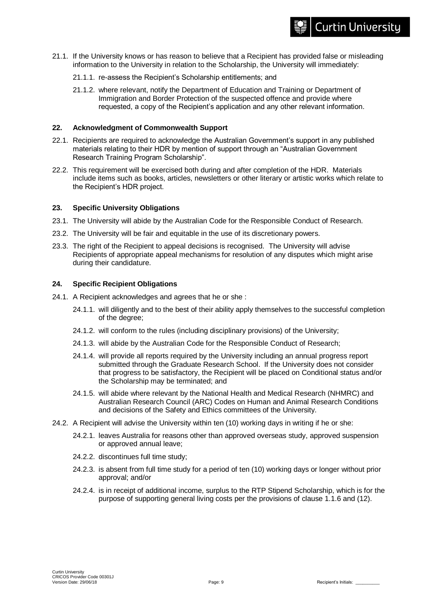- 21.1. If the University knows or has reason to believe that a Recipient has provided false or misleading information to the University in relation to the Scholarship, the University will immediately:
	- 21.1.1. re-assess the Recipient's Scholarship entitlements; and
	- 21.1.2. where relevant, notify the Department of Education and Training or Department of Immigration and Border Protection of the suspected offence and provide where requested, a copy of the Recipient's application and any other relevant information.

#### **22. Acknowledgment of Commonwealth Support**

- 22.1. Recipients are required to acknowledge the Australian Government's support in any published materials relating to their HDR by mention of support through an "Australian Government Research Training Program Scholarship".
- 22.2. This requirement will be exercised both during and after completion of the HDR. Materials include items such as books, articles, newsletters or other literary or artistic works which relate to the Recipient's HDR project.

#### **23. Specific University Obligations**

- 23.1. The University will abide by the Australian Code for the Responsible Conduct of Research.
- 23.2. The University will be fair and equitable in the use of its discretionary powers.
- 23.3. The right of the Recipient to appeal decisions is recognised. The University will advise Recipients of appropriate appeal mechanisms for resolution of any disputes which might arise during their candidature.

#### **24. Specific Recipient Obligations**

- 24.1. A Recipient acknowledges and agrees that he or she :
	- 24.1.1. will diligently and to the best of their ability apply themselves to the successful completion of the degree;
	- 24.1.2. will conform to the rules (including disciplinary provisions) of the University;
	- 24.1.3. will abide by the Australian Code for the Responsible Conduct of Research;
	- 24.1.4. will provide all reports required by the University including an annual progress report submitted through the Graduate Research School. If the University does not consider that progress to be satisfactory, the Recipient will be placed on Conditional status and/or the Scholarship may be terminated; and
	- 24.1.5. will abide where relevant by the National Health and Medical Research (NHMRC) and Australian Research Council (ARC) Codes on Human and Animal Research Conditions and decisions of the Safety and Ethics committees of the University.
- 24.2. A Recipient will advise the University within ten (10) working days in writing if he or she:
	- 24.2.1. leaves Australia for reasons other than approved overseas study, approved suspension or approved annual leave;
	- 24.2.2. discontinues full time study;
	- 24.2.3. is absent from full time study for a period of ten (10) working days or longer without prior approval; and/or
	- 24.2.4. is in receipt of additional income, surplus to the RTP Stipend Scholarship, which is for the purpose of supporting general living costs per the provisions of clause 1.1.6 and (12).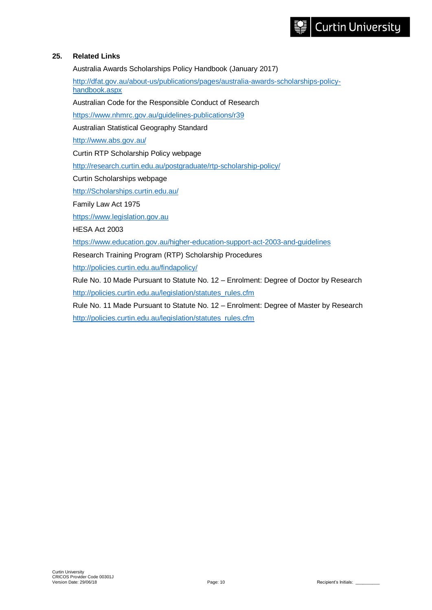# **25. Related Links**

Australia Awards Scholarships Policy Handbook (January 2017)

[http://dfat.gov.au/about-us/publications/pages/australia-awards-scholarships-policy](http://dfat.gov.au/about-us/publications/pages/australia-awards-scholarships-policy-handbook.aspx)[handbook.aspx](http://dfat.gov.au/about-us/publications/pages/australia-awards-scholarships-policy-handbook.aspx)

Australian Code for the Responsible Conduct of Research

<https://www.nhmrc.gov.au/guidelines-publications/r39>

Australian Statistical Geography Standard

<http://www.abs.gov.au/>

Curtin RTP Scholarship Policy webpage

<http://research.curtin.edu.au/postgraduate/rtp-scholarship-policy/>

Curtin Scholarships webpage

[http://Scholarships.curtin.edu.au/](http://scholarships.curtin.edu.au/)

Family Law Act 1975

[https://www.legislation.gov.au](https://www.legislation.gov.au/)

HESA Act 2003

<https://www.education.gov.au/higher-education-support-act-2003-and-guidelines>

Research Training Program (RTP) Scholarship Procedures

<http://policies.curtin.edu.au/findapolicy/>

Rule No. 10 Made Pursuant to Statute No. 12 – Enrolment: Degree of Doctor by Research [http://policies.curtin.edu.au/legislation/statutes\\_rules.cfm](http://policies.curtin.edu.au/legislation/statutes_rules.cfm)

Rule No. 11 Made Pursuant to Statute No. 12 – Enrolment: Degree of Master by Research [http://policies.curtin.edu.au/legislation/statutes\\_rules.cfm](http://policies.curtin.edu.au/legislation/statutes_rules.cfm)